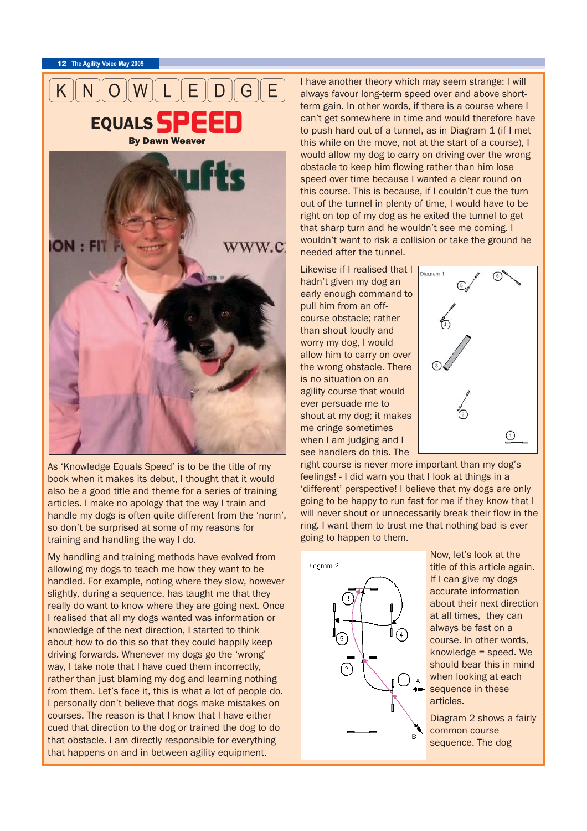<sup>12</sup> **The Agility Voice May 2009**



As 'Knowledge Equals Speed' is to be the title of my book when it makes its debut, I thought that it would also be a good title and theme for a series of training articles. I make no apology that the way I train and handle my dogs is often quite different from the 'norm', so don't be surprised at some of my reasons for training and handling the way I do.

My handling and training methods have evolved from allowing my dogs to teach me how they want to be handled. For example, noting where they slow, however slightly, during a sequence, has taught me that they really do want to know where they are going next. Once I realised that all my dogs wanted was information or knowledge of the next direction, I started to think about how to do this so that they could happily keep driving forwards. Whenever my dogs go the 'wrong' way, I take note that I have cued them incorrectly, rather than just blaming my dog and learning nothing from them. Let's face it, this is what a lot of people do. I personally don't believe that dogs make mistakes on courses. The reason is that I know that I have either cued that direction to the dog or trained the dog to do that obstacle. I am directly responsible for everything that happens on and in between agility equipment.

I have another theory which may seem strange: I will always favour long-term speed over and above shortterm gain. In other words, if there is a course where I can't get somewhere in time and would therefore have to push hard out of a tunnel, as in Diagram 1 (if I met this while on the move, not at the start of a course), I would allow my dog to carry on driving over the wrong obstacle to keep him flowing rather than him lose speed over time because I wanted a clear round on this course. This is because, if I couldn't cue the turn out of the tunnel in plenty of time, I would have to be right on top of my dog as he exited the tunnel to get that sharp turn and he wouldn't see me coming. I wouldn't want to risk a collision or take the ground he needed after the tunnel.

Likewise if I realised that I Diagram 1 hadn't given my dog an early enough command to pull him from an offcourse obstacle; rather than shout loudly and worry my dog, I would allow him to carry on over the wrong obstacle. There is no situation on an agility course that would ever persuade me to shout at my dog; it makes me cringe sometimes when I am judging and I see handlers do this. The



right course is never more important than my dog's feelings! - I did warn you that I look at things in a 'different' perspective! I believe that my dogs are only going to be happy to run fast for me if they know that I will never shout or unnecessarily break their flow in the ring. I want them to trust me that nothing bad is ever going to happen to them.



Now, let's look at the title of this article again. If I can give my dogs accurate information about their next direction at all times, they can always be fast on a course. In other words, knowledge = speed. We should bear this in mind when looking at each sequence in these articles.

Diagram 2 shows a fairly common course sequence. The dog